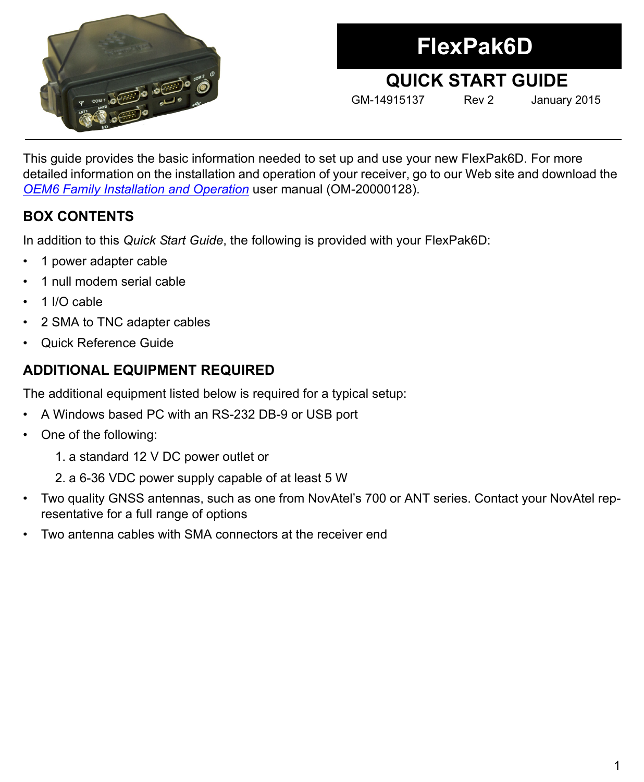

# **FlexPak6D**

# **QUICK START GUIDE**

GM-14915137 Rev 2 January 2015

This guide provides the basic information needed to set up and use your new FlexPak6D. For more detailed information on the installation and operation of your receiver, go to our Web site and download the *[OEM6 Family Installation and Operation](http://www.novatel.com/assets/Documents/Manuals/om-20000128.pdf)* user manual (OM-20000128).

## **BOX CONTENTS**

In addition to this *Quick Start Guide*, the following is provided with your FlexPak6D:

- 1 power adapter cable
- 1 null modem serial cable
- 1 I/O cable
- 2 SMA to TNC adapter cables
- Quick Reference Guide

# **ADDITIONAL EQUIPMENT REQUIRED**

The additional equipment listed below is required for a typical setup:

- A Windows based PC with an RS-232 DB-9 or USB port
- One of the following:
	- 1. a standard 12 V DC power outlet or
	- 2. a 6-36 VDC power supply capable of at least 5 W
- Two quality GNSS antennas, such as one from NovAtel's 700 or ANT series. Contact your NovAtel representative for a full range of options
- Two antenna cables with SMA connectors at the receiver end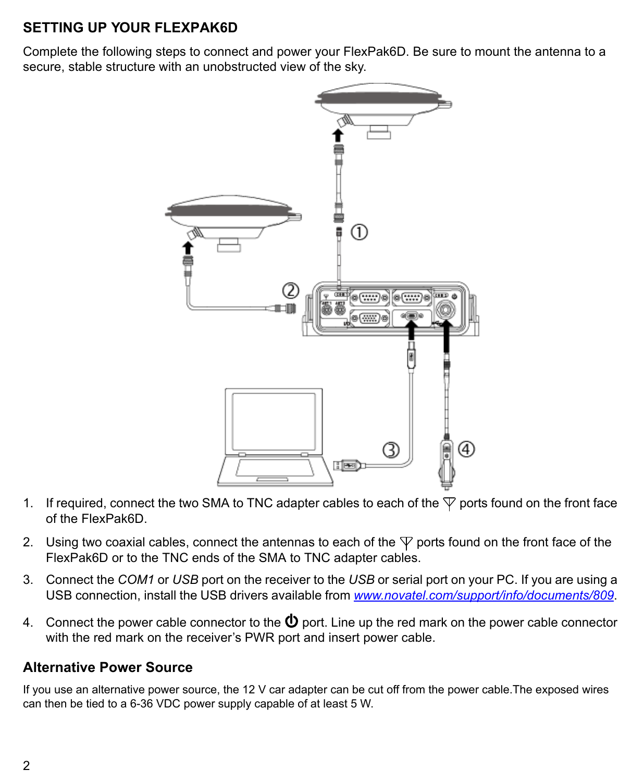## **SETTING UP YOUR FLEXPAK6D**

Complete the following steps to connect and power your FlexPak6D. Be sure to mount the antenna to a secure, stable structure with an unobstructed view of the sky.



- 1. If required, connect the two SMA to TNC adapter cables to each of the  $\nabla$  ports found on the front face of the FlexPak6D.
- 2. Using two coaxial cables, connect the antennas to each of the  $\nabla$  ports found on the front face of the FlexPak6D or to the TNC ends of the SMA to TNC adapter cables.
- 3. Connect the *COM1* or *USB* port on the receiver to the *USB* [or serial port on your PC. If you are using a](http://www.novatel.com/support/info/documents/809)  [USB connection, install the USB drivers available from](http://www.novatel.com/support/info/documents/809) *www.novatel.com/support/info/documents/809*.
- 4. Connect the power cable connector to the  $\Phi$  port. Line up the red mark on the power cable connector with the red mark on the receiver's PWR port and insert power cable.

#### **Alternative Power Source**

If you use an alternative power source, the 12 V car adapter can be cut off from the power cable.The exposed wires can then be tied to a 6-36 VDC power supply capable of at least 5 W.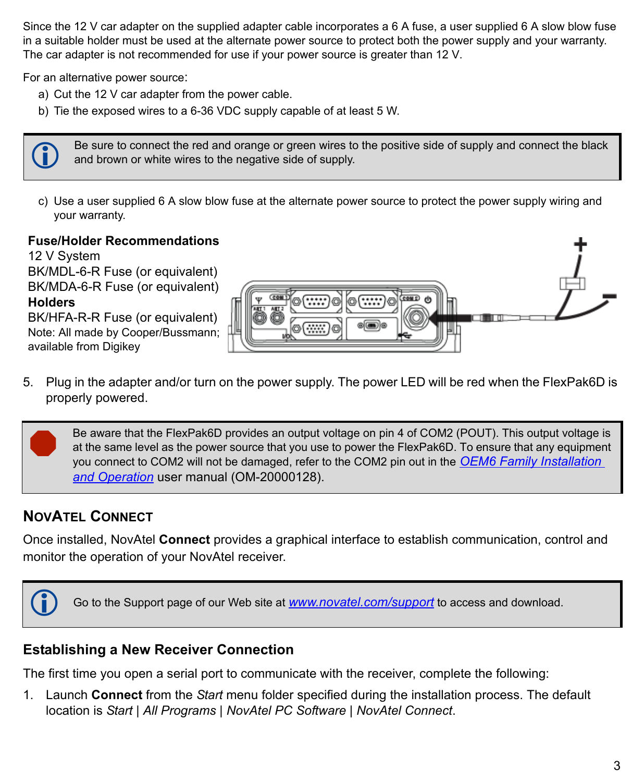Since the 12 V car adapter on the supplied adapter cable incorporates a 6 A fuse, a user supplied 6 A slow blow fuse in a suitable holder must be used at the alternate power source to protect both the power supply and your warranty. The car adapter is not recommended for use if your power source is greater than 12 V.

For an alternative power source:

- a) Cut the 12 V car adapter from the power cable.
- b) Tie the exposed wires to a 6-36 VDC supply capable of at least 5 W.

 Be sure to connect the red and orange or green wires to the positive side of supply and connect the black and brown or white wires to the negative side of supply.

c) Use a user supplied 6 A slow blow fuse at the alternate power source to protect the power supply wiring and your warranty.

#### **Fuse/Holder Recommendations**

12 V System BK/MDL-6-R Fuse (or equivalent) BK/MDA-6-R Fuse (or equivalent) **Holders** BK/HFA-R-R Fuse (or equivalent)

Note: All made by Cooper/Bussmann; available from Digikey



5. Plug in the adapter and/or turn on the power supply. The power LED will be red when the FlexPak6D is properly powered.

 Be aware that the FlexPak6D provides an output voltage on pin 4 of COM2 (POUT). This output voltage is at the same level as the power source that you use to power the FlexPak6D. To ensure that any equipment you connect to COM2 will not be damaged, refer to the COM2 pin out in the *[OEM6 Family Installation](http://www.novatel.com/assets/Documents/Manuals/om-20000128.pdf)  [and Operation](http://www.novatel.com/assets/Documents/Manuals/om-20000128.pdf)* user manual (OM-20000128).

# **NOVATEL CONNECT**

Once installed, NovAtel **Connect** provides a graphical interface to establish communication, control and monitor the operation of your NovAtel receiver.



## **Establishing a New Receiver Connection**

The first time you open a serial port to communicate with the receiver, complete the following:

1. Launch **Connect** from the *Start* menu folder specified during the installation process. The default location is *Start | All Programs | NovAtel PC Software | NovAtel Connect*.